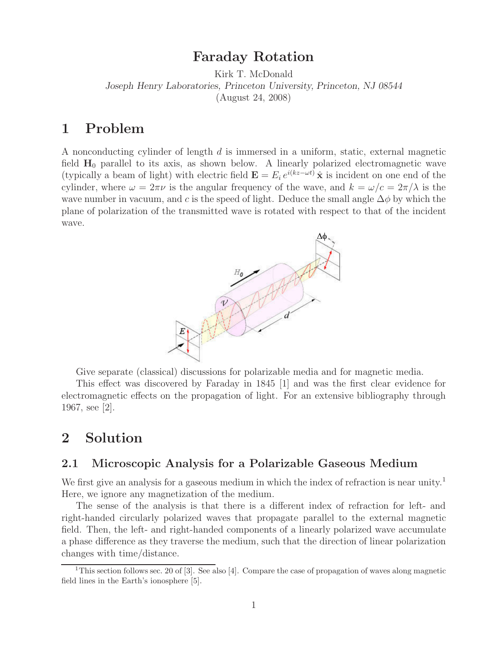# **Faraday Rotation**

Kirk T. McDonald *Joseph Henry Laboratories, Princeton University, Princeton, NJ 08544* (August 24, 2008)

# **1 Problem**

A nonconducting cylinder of length d is immersed in a uniform, static, external magnetic field  $H_0$  parallel to its axis, as shown below. A linearly polarized electromagnetic wave (typically a beam of light) with electric field  $\mathbf{E} = E_i e^{i(kz - \omega t)} \hat{\mathbf{x}}$  is incident on one end of the cylinder, where  $\omega = 2\pi\nu$  is the angular frequency of the wave, and  $k = \omega/c = 2\pi/\lambda$  is the wave number in vacuum, and c is the speed of light. Deduce the small angle  $\Delta\phi$  by which the plane of polarization of the transmitted wave is rotated with respect to that of the incident wave.



Give separate (classical) discussions for polarizable media and for magnetic media.

This effect was discovered by Faraday in 1845 [1] and was the first clear evidence for electromagnetic effects on the propagation of light. For an extensive bibliography through 1967, see [2].

# **2 Solution**

## **2.1 Microscopic Analysis for a Polarizable Gaseous Medium**

We first give an analysis for a gaseous medium in which the index of refraction is near unity.<sup>1</sup> Here, we ignore any magnetization of the medium.

The sense of the analysis is that there is a different index of refraction for left- and right-handed circularly polarized waves that propagate parallel to the external magnetic field. Then, the left- and right-handed components of a linearly polarized wave accumulate a phase difference as they traverse the medium, such that the direction of linear polarization changes with time/distance.

<sup>&</sup>lt;sup>1</sup>This section follows sec. 20 of [3]. See also [4]. Compare the case of propagation of waves along magnetic field lines in the Earth's ionosphere [5].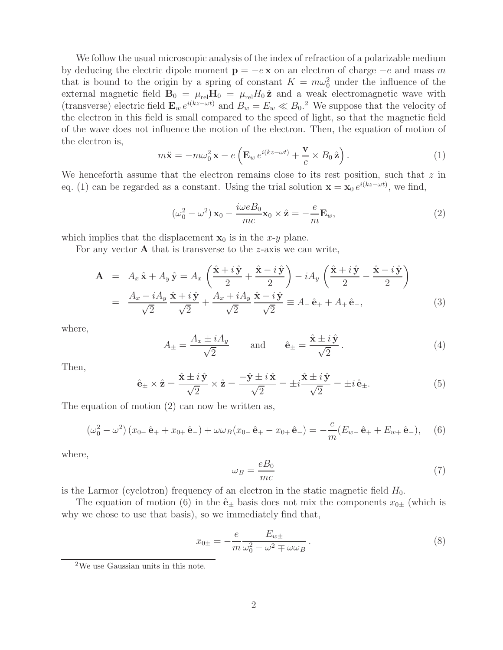We follow the usual microscopic analysis of the index of refraction of a polarizable medium by deducing the electric dipole moment  $\mathbf{p} = -e\mathbf{x}$  on an electron of charge  $-e$  and mass m that is bound to the origin by a spring of constant  $K = m\omega_0^2$  under the influence of the external magnetic field  $\mathbf{B}_0 = \mu_{rel} \mathbf{H}_0 = \mu_{rel} H_0 \hat{\mathbf{z}}$  and a weak electromagnetic wave with (transverse) electric field  $\mathbf{E}_w e^{i(kz-\omega t)}$  and  $B_w = E_w \ll B_0$ .<sup>2</sup> We suppose that the velocity of the electron in this field is small compared to the speed of light, so that the magnetic field of the wave does not influence the motion of the electron. Then, the equation of motion of the electron is,

$$
m\ddot{\mathbf{x}} = -m\omega_0^2 \mathbf{x} - e\left(\mathbf{E}_w e^{i(kz - \omega t)} + \frac{\mathbf{v}}{c} \times B_0 \hat{\mathbf{z}}\right).
$$
 (1)

We henceforth assume that the electron remains close to its rest position, such that  $z$  in eq. (1) can be regarded as a constant. Using the trial solution  $\mathbf{x} = \mathbf{x}_0 e^{i(kz - \omega t)}$ , we find,

$$
(\omega_0^2 - \omega^2) \mathbf{x}_0 - \frac{i\omega e B_0}{mc} \mathbf{x}_0 \times \hat{\mathbf{z}} = -\frac{e}{m} \mathbf{E}_w,
$$
\n(2)

which implies that the displacement  $x_0$  is in the x-y plane.

For any vector **A** that is transverse to the z-axis we can write,

$$
\mathbf{A} = A_x \hat{\mathbf{x}} + A_y \hat{\mathbf{y}} = A_x \left( \frac{\hat{\mathbf{x}} + i \hat{\mathbf{y}}}{2} + \frac{\hat{\mathbf{x}} - i \hat{\mathbf{y}}}{2} \right) - i A_y \left( \frac{\hat{\mathbf{x}} + i \hat{\mathbf{y}}}{2} - \frac{\hat{\mathbf{x}} - i \hat{\mathbf{y}}}{2} \right)
$$

$$
= \frac{A_x - i A_y}{\sqrt{2}} \frac{\hat{\mathbf{x}} + i \hat{\mathbf{y}}}{\sqrt{2}} + \frac{A_x + i A_y}{\sqrt{2}} \frac{\hat{\mathbf{x}} - i \hat{\mathbf{y}}}{\sqrt{2}} \equiv A_- \hat{\mathbf{e}}_+ + A_+ \hat{\mathbf{e}}_-, \tag{3}
$$

where,

$$
A_{\pm} = \frac{A_x \pm iA_y}{\sqrt{2}} \quad \text{and} \quad \hat{\mathbf{e}}_{\pm} = \frac{\hat{\mathbf{x}} \pm i\,\hat{\mathbf{y}}}{\sqrt{2}} \,. \tag{4}
$$

Then,

$$
\hat{\mathbf{e}}_{\pm} \times \hat{\mathbf{z}} = \frac{\hat{\mathbf{x}} \pm i\,\hat{\mathbf{y}}}{\sqrt{2}} \times \hat{\mathbf{z}} = \frac{-\hat{\mathbf{y}} \pm i\,\hat{\mathbf{x}}}{\sqrt{2}} = \pm i\,\frac{\hat{\mathbf{x}} \pm i\,\hat{\mathbf{y}}}{\sqrt{2}} = \pm i\,\hat{\mathbf{e}}_{\pm}.\tag{5}
$$

The equation of motion (2) can now be written as,

$$
\left(\omega_0^2 - \omega^2\right) \left(x_{0-} \hat{\mathbf{e}}_+ + x_{0+} \hat{\mathbf{e}}_-\right) + \omega \omega_B \left(x_{0-} \hat{\mathbf{e}}_+ - x_{0+} \hat{\mathbf{e}}_-\right) = -\frac{e}{m} \left(E_{w-} \hat{\mathbf{e}}_+ + E_{w+} \hat{\mathbf{e}}_-\right),\tag{6}
$$

where,

$$
\omega_B = \frac{eB_0}{mc} \tag{7}
$$

is the Larmor (cyclotron) frequency of an electron in the static magnetic field  $H_0$ .

The equation of motion (6) in the  $\hat{\mathbf{e}}_+$  basis does not mix the components  $x_{0+}$  (which is why we chose to use that basis), so we immediately find that,

$$
x_{0\pm} = -\frac{e}{m} \frac{E_{w\pm}}{\omega_0^2 - \omega^2 \mp \omega \omega_B}.
$$
\n(8)

<sup>2</sup>We use Gaussian units in this note.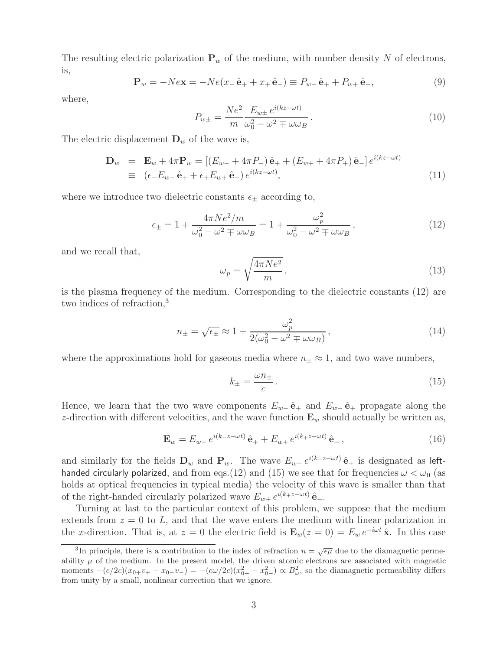The resulting electric polarization  $P_w$  of the medium, with number density N of electrons, is,

$$
\mathbf{P}_w = -N e \mathbf{x} = -N e (x_- \hat{\mathbf{e}}_+ + x_+ \hat{\mathbf{e}}_-) \equiv P_{w_-} \hat{\mathbf{e}}_+ + P_{w_+} \hat{\mathbf{e}}_-, \tag{9}
$$

where,

$$
P_{w\pm} = \frac{Ne^2}{m} \frac{E_{w\pm} e^{i(kz - \omega t)}}{\omega_0^2 - \omega^2 \mp \omega \omega_B}.
$$
\n(10)

The electric displacement  $\mathbf{D}_w$  of the wave is,

$$
\mathbf{D}_w = \mathbf{E}_w + 4\pi \mathbf{P}_w = [(E_{w-} + 4\pi P_-) \hat{\mathbf{e}}_+ + (E_{w+} + 4\pi P_+) \hat{\mathbf{e}}_-] e^{i(kz - \omega t)} \n\equiv (\epsilon_- E_{w-} \hat{\mathbf{e}}_+ + \epsilon_+ E_{w+} \hat{\mathbf{e}}_-) e^{i(kz - \omega t)},
$$
\n(11)

where we introduce two dielectric constants  $\epsilon_{\pm}$  according to,

$$
\epsilon_{\pm} = 1 + \frac{4\pi Ne^2/m}{\omega_0^2 - \omega^2 \mp \omega\omega_B} = 1 + \frac{\omega_p^2}{\omega_0^2 - \omega^2 \mp \omega\omega_B},\tag{12}
$$

and we recall that,

$$
\omega_p = \sqrt{\frac{4\pi Ne^2}{m}},\tag{13}
$$

is the plasma frequency of the medium. Corresponding to the dielectric constants (12) are two indices of refraction,<sup>3</sup>

$$
n_{\pm} = \sqrt{\epsilon_{\pm}} \approx 1 + \frac{\omega_p^2}{2(\omega_0^2 - \omega^2 \mp \omega \omega_B)},
$$
\n(14)

where the approximations hold for gaseous media where  $n_{\pm} \approx 1$ , and two wave numbers,

$$
k_{\pm} = \frac{\omega n_{\pm}}{c} \,. \tag{15}
$$

Hence, we learn that the two wave components  $E_{w-}$  $\hat{\mathbf{e}}$ <sub>+</sub> and  $E_{w-}$  $\hat{\mathbf{e}}$ <sub>+</sub> propagate along the z-direction with different velocities, and the wave function  $\mathbf{E}_w$  should actually be written as,

$$
\mathbf{E}_w = E_{w-} e^{i(k-z-\omega t)} \hat{\mathbf{e}}_+ + E_{w+} e^{i(k+z-\omega t)} \hat{\mathbf{e}}_-, \qquad (16)
$$

and similarly for the fields  $\mathbf{D}_w$  and  $\mathbf{P}_w$ . The wave  $E_{w-}e^{i(k-z-wt)}\hat{\mathbf{e}}_+$  is designated as lefthanded circularly polarized, and from eqs.(12) and (15) we see that for frequencies  $\omega < \omega_0$  (as holds at optical frequencies in typical media) the velocity of this wave is smaller than that of the right-handed circularly polarized wave  $E_{w+} e^{i(k+z-\omega t)}$   $\hat{\mathbf{e}}$ <sub>−</sub>.

Turning at last to the particular context of this problem, we suppose that the medium extends from  $z = 0$  to L, and that the wave enters the medium with linear polarization in the x-direction. That is, at  $z = 0$  the electric field is  $\mathbf{E}_w(z = 0) = E_w e^{-i\omega t} \hat{\mathbf{x}}$ . In this case

<sup>&</sup>lt;sup>3</sup>In principle, there is a contribution to the index of refraction  $n = \sqrt{\epsilon \mu}$  due to the diamagnetic permeability  $\mu$  of the medium. In the present model, the driven atomic electrons are associated with magnetic moments  $-(e/2c)(x_{0+}v_{+} - x_{0-}v_{-}) = -(e\omega/2c)(x_{0+}^2 - x_{0-}^2) \propto B_{\omega}^2$ , so the diamagnetic permeability differs from unity by a small, nonlinear correction that we ignore.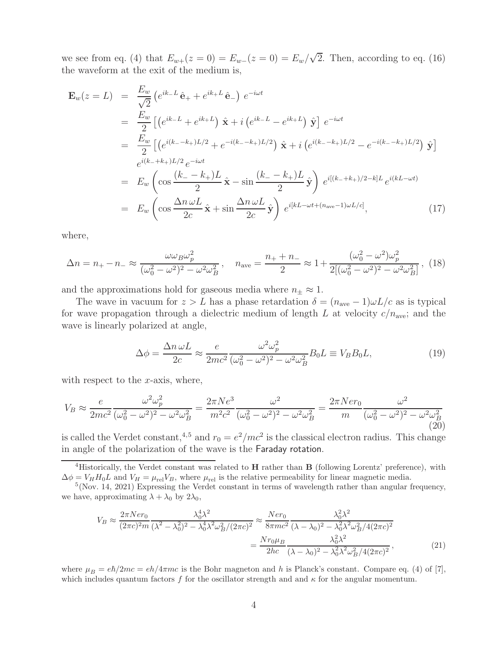we see from eq. (4) that  $E_{w+}(z=0) = E_{w-}(z=0) = E_w/\sqrt{2}$ . Then, according to eq. (16) the waveform at the exit of the medium is,

$$
\mathbf{E}_{w}(z=L) = \frac{E_{w}}{\sqrt{2}} \left( e^{ik_{-}L} \hat{\mathbf{e}}_{+} + e^{ik_{+}L} \hat{\mathbf{e}}_{-} \right) e^{-i\omega t} \n= \frac{E_{w}}{2} \left[ \left( e^{ik_{-}L} + e^{ik_{+}L} \right) \hat{\mathbf{x}} + i \left( e^{ik_{-}L} - e^{ik_{+}L} \right) \hat{\mathbf{y}} \right] e^{-i\omega t} \n= \frac{E_{w}}{2} \left[ \left( e^{i(k_{-} - k_{+})L/2} + e^{-i(k_{-} - k_{+})L/2} \right) \hat{\mathbf{x}} + i \left( e^{i(k_{-} - k_{+})L/2} - e^{-i(k_{-} - k_{+})L/2} \right) \hat{\mathbf{y}} \right] \n= E_{w} \left( \cos \frac{(k_{-} - k_{+})L}{2} \hat{\mathbf{x}} - \sin \frac{(k_{-} - k_{+})L}{2} \hat{\mathbf{y}} \right) e^{i[(k_{-} + k_{+})/2 - k]L} e^{i(k_{-} - \omega t)} \n= E_{w} \left( \cos \frac{\Delta n \omega L}{2c} \hat{\mathbf{x}} + \sin \frac{\Delta n \omega L}{2c} \hat{\mathbf{y}} \right) e^{i[k_{-} - \omega t + (n_{\text{ave}} - 1)\omega L/c]},
$$
\n(17)

where,

$$
\Delta n = n_{+} - n_{-} \approx \frac{\omega \omega_{B} \omega_{p}^{2}}{(\omega_{0}^{2} - \omega^{2})^{2} - \omega^{2} \omega_{B}^{2}}, \quad n_{\text{ave}} = \frac{n_{+} + n_{-}}{2} \approx 1 + \frac{(\omega_{0}^{2} - \omega^{2}) \omega_{p}^{2}}{2[(\omega_{0}^{2} - \omega^{2})^{2} - \omega^{2} \omega_{B}^{2}]}, \quad (18)
$$

and the approximations hold for gaseous media where  $n_{\pm} \approx 1$ .

The wave in vacuum for  $z>L$  has a phase retardation  $\delta = (n_{ave} - 1)\omega L/c$  as is typical for wave propagation through a dielectric medium of length L at velocity  $c/n_{ave}$ ; and the wave is linearly polarized at angle,

$$
\Delta \phi = \frac{\Delta n \,\omega L}{2c} \approx \frac{e}{2mc^2} \frac{\omega^2 \omega_p^2}{(\omega_0^2 - \omega^2)^2 - \omega^2 \omega_B^2} B_0 L \equiv V_B B_0 L,\tag{19}
$$

with respect to the  $x$ -axis, where,

$$
V_B \approx \frac{e}{2mc^2} \frac{\omega^2 \omega_p^2}{(\omega_0^2 - \omega^2)^2 - \omega^2 \omega_B^2} = \frac{2\pi Ne^3}{m^2c^2} \frac{\omega^2}{(\omega_0^2 - \omega^2)^2 - \omega^2 \omega_B^2} = \frac{2\pi Ner_0}{m} \frac{\omega^2}{(\omega_0^2 - \omega^2)^2 - \omega^2 \omega_B^2}
$$
(20)

is called the Verdet constant,<sup>4,5</sup> and  $r_0 = e^2/mc^2$  is the classical electron radius. This change in angle of the polarization of the wave is the Faraday rotation.

$$
V_B \approx \frac{2\pi N e r_0}{(2\pi c)^2 m} \frac{\lambda_0^4 \lambda^2}{(\lambda^2 - \lambda_0^2)^2 - \lambda_0^4 \lambda^2 \omega_B^2 / (2\pi c)^2} \approx \frac{N e r_0}{8\pi m c^2} \frac{\lambda_0^2 \lambda^2}{(\lambda - \lambda_0)^2 - \lambda_0^2 \lambda^2 \omega_B^2 / 4(2\pi c)^2} = \frac{N r_0 \mu_B}{2hc} \frac{\lambda_0^2 \lambda^2}{(\lambda - \lambda_0)^2 - \lambda_0^2 \lambda^2 \omega_B^2 / 4(2\pi c)^2},
$$
(21)

where  $\mu_B = e\hbar/2mc = eh/4\pi mc$  is the Bohr magneton and h is Planck's constant. Compare eq. (4) of [7], which includes quantum factors f for the oscillator strength and and  $\kappa$  for the angular momentum.

<sup>4</sup>Historically, the Verdet constant was related to **H** rather than **B** (following Lorentz' preference), with  $\Delta \phi = V_H H_0 L$  and  $V_H = \mu_{rel} V_B$ , where  $\mu_{rel}$  is the relative permeability for linear magnetic media.

 $5(Nov. 14, 2021)$  Expressing the Verdet constant in terms of wavelength rather than angular frequency, we have, approximating  $\lambda + \lambda_0$  by  $2\lambda_0$ ,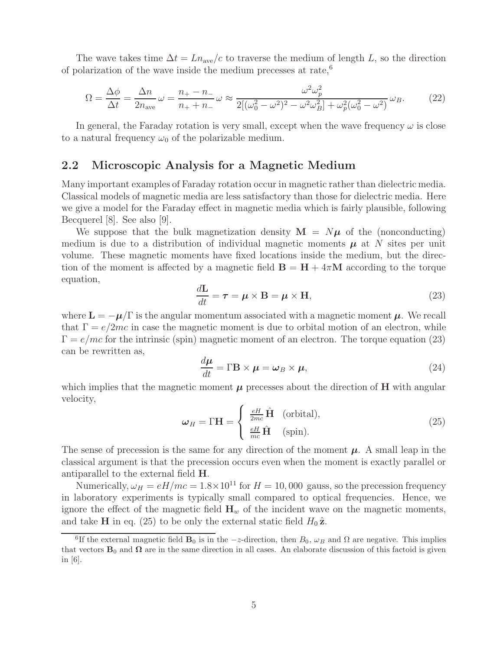The wave takes time  $\Delta t = Ln_{ave}/c$  to traverse the medium of length L, so the direction of polarization of the wave inside the medium precesses at rate,<sup>6</sup>

$$
\Omega = \frac{\Delta\phi}{\Delta t} = \frac{\Delta n}{2n_{\text{ave}}} \omega = \frac{n_+ - n_-}{n_+ + n_-} \omega \approx \frac{\omega^2 \omega_p^2}{2[(\omega_0^2 - \omega^2)^2 - \omega^2 \omega_B^2] + \omega_p^2(\omega_0^2 - \omega^2)} \omega_B. \tag{22}
$$

In general, the Faraday rotation is very small, except when the wave frequency  $\omega$  is close to a natural frequency  $\omega_0$  of the polarizable medium.

#### **2.2 Microscopic Analysis for a Magnetic Medium**

Many important examples of Faraday rotation occur in magnetic rather than dielectric media. Classical models of magnetic media are less satisfactory than those for dielectric media. Here we give a model for the Faraday effect in magnetic media which is fairly plausible, following Becquerel [8]. See also [9].

We suppose that the bulk magnetization density  $\mathbf{M} = N\mu$  of the (nonconducting) medium is due to a distribution of individual magnetic moments  $\mu$  at N sites per unit volume. These magnetic moments have fixed locations inside the medium, but the direction of the moment is affected by a magnetic field  $\mathbf{B} = \mathbf{H} + 4\pi\mathbf{M}$  according to the torque equation,

$$
\frac{d\mathbf{L}}{dt} = \boldsymbol{\tau} = \boldsymbol{\mu} \times \mathbf{B} = \boldsymbol{\mu} \times \mathbf{H},
$$
\n(23)

where  $\mathbf{L} = -\mu/\Gamma$  is the angular momentum associated with a magnetic moment  $\mu$ . We recall that  $\Gamma = e/2mc$  in case the magnetic moment is due to orbital motion of an electron, while  $\Gamma = e/mc$  for the intrinsic (spin) magnetic moment of an electron. The torque equation (23) can be rewritten as,

$$
\frac{d\mu}{dt} = \Gamma \mathbf{B} \times \mu = \omega_B \times \mu,\tag{24}
$$

which implies that the magnetic moment  $\mu$  precesses about the direction of **H** with angular velocity,

$$
\omega_H = \Gamma \mathbf{H} = \begin{cases} \frac{eH}{2mc} \hat{\mathbf{H}} & \text{(orbital)},\\ \frac{eH}{mc} \hat{\mathbf{H}} & \text{(spin)}. \end{cases}
$$
 (25)

The sense of precession is the same for any direction of the moment  $\mu$ . A small leap in the classical argument is that the precession occurs even when the moment is exactly parallel or antiparallel to the external field **H**.

Numerically,  $\omega_H = eH/mc = 1.8 \times 10^{11}$  for  $H = 10,000$  gauss, so the precession frequency in laboratory experiments is typically small compared to optical frequencies. Hence, we ignore the effect of the magnetic field  $\mathbf{H}_w$  of the incident wave on the magnetic moments, and take **H** in eq. (25) to be only the external static field  $H_0 \hat{z}$ .

<sup>&</sup>lt;sup>6</sup>If the external magnetic field **B**<sub>0</sub> is in the  $-z$ -direction, then  $B_0$ ,  $\omega_B$  and  $\Omega$  are negative. This implies that vectors  $\mathbf{B}_0$  and  $\Omega$  are in the same direction in all cases. An elaborate discussion of this factoid is given in [6].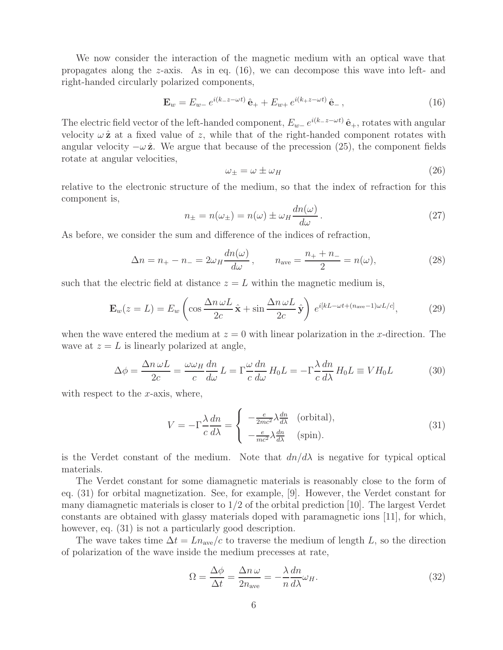We now consider the interaction of the magnetic medium with an optical wave that propagates along the z-axis. As in eq.  $(16)$ , we can decompose this wave into left- and right-handed circularly polarized components,

$$
\mathbf{E}_w = E_{w-} e^{i(k_z - z - \omega t)} \hat{\mathbf{e}}_+ + E_{w+} e^{i(k_z - \omega t)} \hat{\mathbf{e}}_-, \tag{16}
$$

The electric field vector of the left-handed component,  $E_{w-}e^{i(k-z-\omega t)}\hat{\mathbf{e}}_+$ , rotates with angular velocity  $\omega \hat{z}$  at a fixed value of z, while that of the right-handed component rotates with angular velocity  $-\omega \hat{z}$ . We argue that because of the precession (25), the component fields rotate at angular velocities,

$$
\omega_{\pm} = \omega \pm \omega_H \tag{26}
$$

relative to the electronic structure of the medium, so that the index of refraction for this component is,

$$
n_{\pm} = n(\omega_{\pm}) = n(\omega) \pm \omega_H \frac{dn(\omega)}{d\omega}.
$$
 (27)

As before, we consider the sum and difference of the indices of refraction,

$$
\Delta n = n_{+} - n_{-} = 2\omega_{H} \frac{dn(\omega)}{d\omega}, \qquad n_{\text{ave}} = \frac{n_{+} + n_{-}}{2} = n(\omega), \tag{28}
$$

such that the electric field at distance  $z = L$  within the magnetic medium is,

$$
\mathbf{E}_w(z=L) = E_w \left( \cos \frac{\Delta n \,\omega L}{2c} \hat{\mathbf{x}} + \sin \frac{\Delta n \,\omega L}{2c} \hat{\mathbf{y}} \right) e^{i[kL - \omega t + (n_{\text{ave}} - 1)\omega L/c]}, \tag{29}
$$

when the wave entered the medium at  $z = 0$  with linear polarization in the x-direction. The wave at  $z = L$  is linearly polarized at angle,

$$
\Delta \phi = \frac{\Delta n \,\omega L}{2c} = \frac{\omega \omega_H}{c} \frac{dn}{d\omega} L = \Gamma \frac{\omega}{c} \frac{dn}{d\omega} H_0 L = -\Gamma \frac{\lambda}{c} \frac{dn}{d\lambda} H_0 L \equiv VH_0 L \tag{30}
$$

with respect to the  $x$ -axis, where,

$$
V = -\Gamma \frac{\lambda}{c} \frac{dn}{d\lambda} = \begin{cases} -\frac{e}{2mc^2} \lambda \frac{dn}{d\lambda} & \text{(orbital)},\\ -\frac{e}{mc^2} \lambda \frac{dn}{d\lambda} & \text{(spin)}. \end{cases}
$$
(31)

is the Verdet constant of the medium. Note that  $dn/d\lambda$  is negative for typical optical materials.

The Verdet constant for some diamagnetic materials is reasonably close to the form of eq. (31) for orbital magnetization. See, for example, [9]. However, the Verdet constant for many diamagnetic materials is closer to 1/2 of the orbital prediction [10]. The largest Verdet constants are obtained with glassy materials doped with paramagnetic ions [11], for which, however, eq.  $(31)$  is not a particularly good description.

The wave takes time  $\Delta t = Ln_{ave}/c$  to traverse the medium of length L, so the direction of polarization of the wave inside the medium precesses at rate,

$$
\Omega = \frac{\Delta \phi}{\Delta t} = \frac{\Delta n \,\omega}{2n_{\text{ave}}} = -\frac{\lambda}{n} \frac{dn}{d\lambda} \omega_H. \tag{32}
$$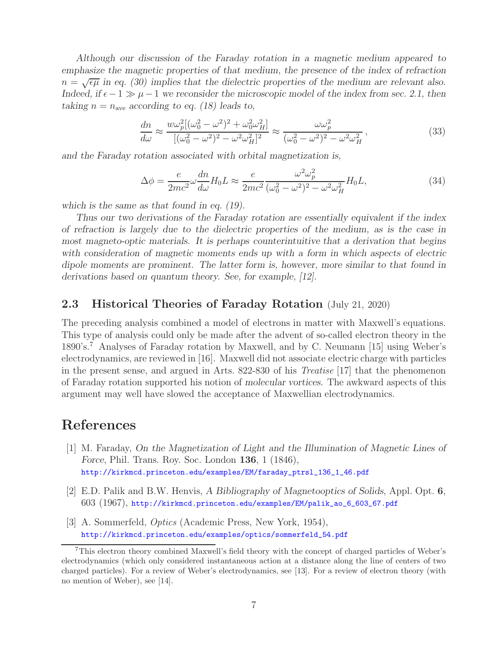*Although our discussion of the Faraday rotation in a magnetic medium appeared to emphasize the magnetic properties of that medium, the presence of the index of refraction*  $n = \sqrt{\epsilon \mu}$  in eq. (30) implies that the dielectric properties of the medium are relevant also. *Indeed, if*  $\epsilon - 1 \gg \mu - 1$  *we reconsider the microscopic model of the index from sec.* 2.1, then *taking*  $n = n_{ave}$  *according to eq.* (18) leads to,

$$
\frac{dn}{d\omega} \approx \frac{w\omega_p^2[(\omega_0^2 - \omega^2)^2 + \omega_0^2 \omega_H^2]}{[(\omega_0^2 - \omega^2)^2 - \omega^2 \omega_H^2]^2} \approx \frac{\omega \omega_p^2}{(\omega_0^2 - \omega^2)^2 - \omega^2 \omega_H^2},\tag{33}
$$

*and the Faraday rotation associated with orbital magnetization is,*

$$
\Delta \phi = \frac{e}{2mc^2} \omega \frac{dn}{d\omega} H_0 L \approx \frac{e}{2mc^2} \frac{\omega^2 \omega_p^2}{(\omega_0^2 - \omega^2)^2 - \omega^2 \omega_H^2} H_0 L,\tag{34}
$$

*which is the same as that found in eq. (19).*

*Thus our two derivations of the Faraday rotation are essentially equivalent if the index of refraction is largely due to the dielectric properties of the medium, as is the case in most magneto-optic materials. It is perhaps counterintuitive that a derivation that begins with consideration of magnetic moments ends up with a form in which aspects of electric dipole moments are prominent. The latter form is, however, more similar to that found in derivations based on quantum theory. See, for example, [12].*

### **2.3 Historical Theories of Faraday Rotation** (July 21, 2020)

The preceding analysis combined a model of electrons in matter with Maxwell's equations. This type of analysis could only be made after the advent of so-called electron theory in the 1890's.<sup>7</sup> Analyses of Faraday rotation by Maxwell, and by C. Neumann [15] using Weber's electrodynamics, are reviewed in [16]. Maxwell did not associate electric charge with particles in the present sense, and argued in Arts. 822-830 of his *Treatise* [17] that the phenomenon of Faraday rotation supported his notion of *molecular vortices*. The awkward aspects of this argument may well have slowed the acceptance of Maxwellian electrodynamics.

## **References**

- [1] M. Faraday, *On the Magnetization of Light and the Illumination of Magnetic Lines of Force*, Phil. Trans. Roy. Soc. London **136**, 1 (1846), http://kirkmcd.princeton.edu/examples/EM/faraday\_ptrsl\_136\_1\_46.pdf
- [2] E.D. Palik and B.W. Henvis, *A Bibliography of Magnetooptics of Solids*, Appl. Opt. **6**, 603 (1967), http://kirkmcd.princeton.edu/examples/EM/palik\_ao\_6\_603\_67.pdf
- [3] A. Sommerfeld, *Optics* (Academic Press, New York, 1954), http://kirkmcd.princeton.edu/examples/optics/sommerfeld\_54.pdf

<sup>7</sup>This electron theory combined Maxwell's field theory with the concept of charged particles of Weber's electrodynamics (which only considered instantaneous action at a distance along the line of centers of two charged particles). For a review of Weber's electrodynamics, see [13]. For a review of electron theory (with no mention of Weber), see [14].